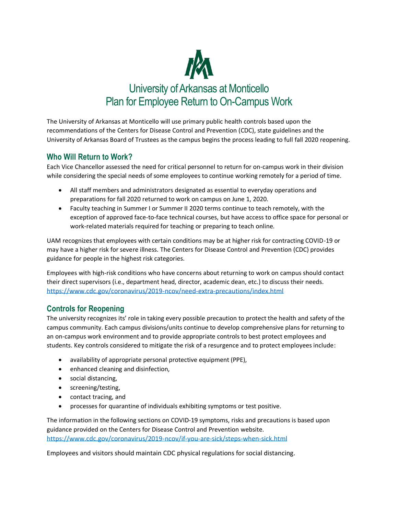

The University of Arkansas at Monticello will use primary public health controls based upon the recommendations of the Centers for Disease Control and Prevention (CDC), state guidelines and the University of Arkansas Board of Trustees as the campus begins the process leading to full fall 2020 reopening.

#### **Who Will Return to Work?**

Each Vice Chancellor assessed the need for critical personnel to return for on-campus work in their division while considering the special needs of some employees to continue working remotely for a period of time.

- All staff members and administrators designated as essential to everyday operations and preparations for fall 2020 returned to work on campus on June 1, 2020.
- Faculty teaching in Summer I or Summer II 2020 terms continue to teach remotely, with the exception of approved face-to-face technical courses, but have access to office space for personal or work-related materials required for teaching or preparing to teach online.

UAM recognizes that employees with certain conditions may be at higher risk for contracting COVID-19 or may have a higher risk for severe illness. The Centers for Disease Control and Prevention (CDC) provides guidance for people in the highest risk categories.

Employees with high-risk conditions who have concerns about returning to work on campus should contact their direct supervisors (i.e., department head, director, academic dean, etc.) to discuss their needs. <https://www.cdc.gov/coronavirus/2019-ncov/need-extra-precautions/index.html>

## **Controls for Reopening**

The university recognizes its' role in taking every possible precaution to protect the health and safety of the campus community. Each campus divisions/units continue to develop comprehensive plans for returning to an on-campus work environment and to provide appropriate controls to best protect employees and students. Key controls considered to mitigate the risk of a resurgence and to protect employees include:

- availability of appropriate personal protective equipment (PPE),
- enhanced cleaning and disinfection,
- social distancing,
- screening/testing,
- contact tracing, and
- processes for quarantine of individuals exhibiting symptoms or test positive.

The information in the following sections on COVID-19 symptoms, risks and precautions is based upon guidance provided on the Centers for Disease Control and Prevention website. <https://www.cdc.gov/coronavirus/2019-ncov/if-you-are-sick/steps-when-sick.html>

Employees and visitors should maintain CDC physical regulations for social distancing.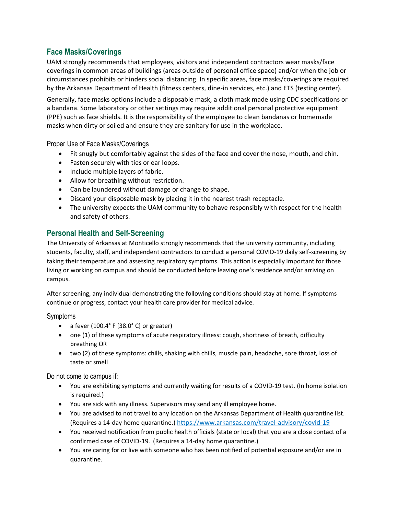# **Face Masks/Coverings**

UAM strongly recommends that employees, visitors and independent contractors wear masks/face coverings in common areas of buildings (areas outside of personal office space) and/or when the job or circumstances prohibits or hinders social distancing. In specific areas, face masks/coverings are required by the Arkansas Department of Health (fitness centers, dine-in services, etc.) and ETS (testing center).

Generally, face masks options include a disposable mask, a cloth mask made using CDC specifications or a bandana. Some laboratory or other settings may require additional personal protective equipment (PPE) such as face shields. It is the responsibility of the employee to clean bandanas or homemade masks when dirty or soiled and ensure they are sanitary for use in the workplace.

Proper Use of Face Masks/Coverings

- Fit snugly but comfortably against the sides of the face and cover the nose, mouth, and chin.
- Fasten securely with ties or ear loops.
- Include multiple layers of fabric.
- Allow for breathing without restriction.
- Can be laundered without damage or change to shape.
- Discard your disposable mask by placing it in the nearest trash receptacle.
- The university expects the UAM community to behave responsibly with respect for the health and safety of others.

## **Personal Health and Self-Screening**

The University of Arkansas at Monticello strongly recommends that the university community, including students, faculty, staff, and independent contractors to conduct a personal COVID-19 daily self-screening by taking their temperature and assessing respiratory symptoms. This action is especially important for those living or working on campus and should be conducted before leaving one's residence and/or arriving on campus.

After screening, any individual demonstrating the following conditions should stay at home. If symptoms continue or progress, contact your health care provider for medical advice.

#### Symptoms

- a fever (100.4° F [38.0° C] or greater)
- one (1) of these symptoms of acute respiratory illness: cough, shortness of breath, difficulty breathing OR
- two (2) of these symptoms: chills, shaking with chills, muscle pain, headache, sore throat, loss of taste or smell

Do not come to campus if:

- You are exhibiting symptoms and currently waiting for results of a COVID-19 test. (In home isolation is required.)
- You are sick with any illness. Supervisors may send any ill employee home.
- You are advised to not travel to any location on the Arkansas Department of Health quarantine list. (Requires a 14-day home quarantine.) <https://www.arkansas.com/travel-advisory/covid-19>
- You received notification from public health officials (state or local) that you are a close contact of a confirmed case of COVID-19. (Requires a 14-day home quarantine.)
- You are caring for or live with someone who has been notified of potential exposure and/or are in quarantine.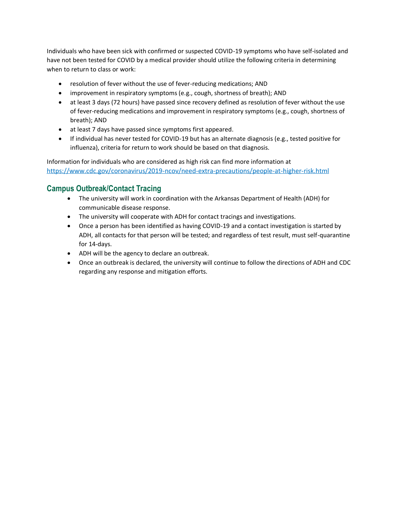Individuals who have been sick with confirmed or suspected COVID-19 symptoms who have self-isolated and have not been tested for COVID by a medical provider should utilize the following criteria in determining when to return to class or work:

- resolution of fever without the use of fever-reducing medications; AND
- improvement in respiratory symptoms (e.g., cough, shortness of breath); AND
- at least 3 days (72 hours) have passed since recovery defined as resolution of fever without the use of fever-reducing medications and improvement in respiratory symptoms (e.g., cough, shortness of breath); AND
- at least 7 days have passed since symptoms first appeared.
- If individual has never tested for COVID-19 but has an alternate diagnosis (e.g., tested positive for influenza), criteria for return to work should be based on that diagnosis.

Information for individuals who are considered as high risk can find more information at <https://www.cdc.gov/coronavirus/2019-ncov/need-extra-precautions/people-at-higher-risk.html>

## **Campus Outbreak/Contact Tracing**

- The university will work in coordination with the Arkansas Department of Health (ADH) for communicable disease response.
- The university will cooperate with ADH for contact tracings and investigations.
- Once a person has been identified as having COVID-19 and a contact investigation is started by ADH, all contacts for that person will be tested; and regardless of test result, must self-quarantine for 14-days.
- ADH will be the agency to declare an outbreak.
- Once an outbreak is declared, the university will continue to follow the directions of ADH and CDC regarding any response and mitigation efforts.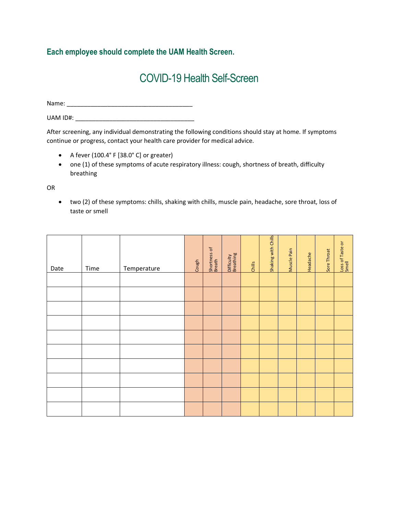# **Each employee should complete the UAM Health Screen.**

# COVID-19 Health Self-Screen

Name: \_\_\_\_\_\_\_\_\_\_\_\_\_\_\_\_\_\_\_\_\_\_\_\_\_\_\_\_\_\_\_\_\_\_\_\_\_

UAM ID#: \_\_\_\_\_\_\_\_\_\_\_\_\_\_\_\_\_\_\_\_\_\_\_\_\_\_\_\_\_\_\_\_\_\_\_

After screening, any individual demonstrating the following conditions should stay at home. If symptoms continue or progress, contact your health care provider for medical advice.

- A fever (100.4° F [38.0° C] or greater)
- one (1) of these symptoms of acute respiratory illness: cough, shortness of breath, difficulty breathing

OR

• two (2) of these symptoms: chills, shaking with chills, muscle pain, headache, sore throat, loss of taste or smell

| Date | Time | Temperature | Cough | Shortness of<br>Breath | Difficulty<br>Breathing | Chills | Shaking with Chills | Muscle Pain | Headache | Sore Throat | Loss of Taste or<br>Smell |
|------|------|-------------|-------|------------------------|-------------------------|--------|---------------------|-------------|----------|-------------|---------------------------|
|      |      |             |       |                        |                         |        |                     |             |          |             |                           |
|      |      |             |       |                        |                         |        |                     |             |          |             |                           |
|      |      |             |       |                        |                         |        |                     |             |          |             |                           |
|      |      |             |       |                        |                         |        |                     |             |          |             |                           |
|      |      |             |       |                        |                         |        |                     |             |          |             |                           |
|      |      |             |       |                        |                         |        |                     |             |          |             |                           |
|      |      |             |       |                        |                         |        |                     |             |          |             |                           |
|      |      |             |       |                        |                         |        |                     |             |          |             |                           |
|      |      |             |       |                        |                         |        |                     |             |          |             |                           |
|      |      |             |       |                        |                         |        |                     |             |          |             |                           |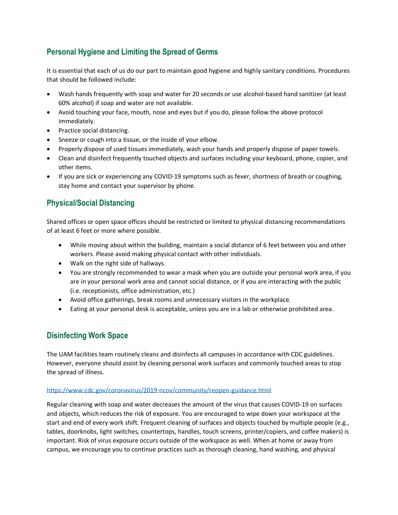# **Personal Hygiene and Limiting the Spread of Germs**

It is essential that each of us do our part to maintain good hygiene and highly sanitary conditions. Procedures that should be followed include:

- Wash hands frequently with soap and water for 20 seconds or use alcohol-based hand sanitizer (at least 60% alcohol) if soap and water are not available.
- Avoid touching your face, mouth, nose and eyes but if you do, please follow the above protocol immediately.
- Practice social distancing.
- Sneeze or cough into a tissue, or the inside of your elbow.
- Properly dispose of used tissues immediately, wash your hands and properly dispose of paper towels.
- Clean and disinfect frequently touched objects and surfaces including your keyboard, phone, copier, and other items.
- If you are sick or experiencing any COVID-19 symptoms such as fever, shortness of breath or coughing, stay home and contact your supervisor by phone.

## **Physical/Social Distancing**

Shared offices or open space offices should be restricted or limited to physical distancing recommendations of at least 6 feet or more where possible.

- While moving about within the building, maintain a social distance of 6 feet between you and other workers. Please avoid making physical contact with other individuals.
- Walk on the right side of hallways.
- You are strongly recommended to wear a mask when you are outside your personal work area, if you are in your personal work area and cannot social distance, or if you are interacting with the public (i.e. receptionists, office administration, etc.)
- Avoid office gatherings, break rooms and unnecessary visitors in the workplace.
- Eating at your personal desk is acceptable, unless you are in a lab or otherwise prohibited area.

## **Disinfecting Work Space**

The UAM facilities team routinely cleans and disinfects all campuses in accordance with CDC guidelines. However, everyone should assist by cleaning personal work surfaces and commonly touched areas to stop the spread of illness.

#### <https://www.cdc.gov/coronavirus/2019-ncov/community/reopen-guidance.html>

Regular cleaning with soap and water decreases the amount of the virus that causes COVID-19 on surfaces and objects, which reduces the risk of exposure. You are encouraged to wipe down your workspace at the start and end of every work shift. Frequent cleaning of surfaces and objects touched by multiple people (e.g., tables, doorknobs, light switches, countertops, handles, touch screens, printer/copiers, and coffee makers) is important. Risk of virus exposure occurs outside of the workspace as well. When at home or away from campus, we encourage you to continue practices such as thorough cleaning, hand washing, and physical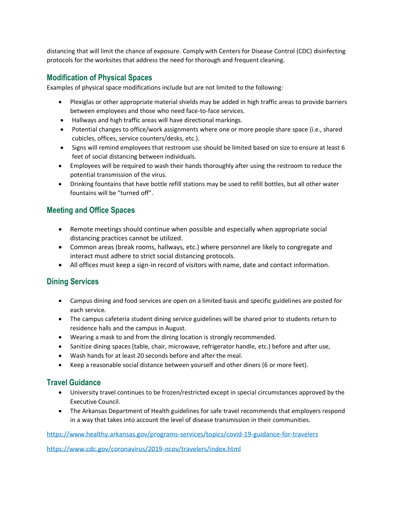distancing that will limit the chance of exposure. Comply with Centers for Disease Control (CDC) [disinfecting](https://www.cdc.gov/coronavirus/2019-ncov/community/disinfecting-building-facility.html) protocols for the worksites that address the need for thorough and frequent cleaning.

#### **Modification of Physical Spaces**

Examples of physical space modifications include but are not limited to the following:

- Plexiglas or other appropriate material shields may be added in high traffic areas to provide barriers between employees and those who need face-to-face services.
- Hallways and high traffic areas will have directional markings.
- Potential changes to office/work assignments where one or more people share space (i.e., shared cubicles, offices, service counters/desks, etc.).
- Signs will remind employees that restroom use should be limited based on size to ensure at least 6 feet of social distancing between individuals.
- Employees will be required to wash their hands thoroughly after using the restroom to reduce the potential transmission of the virus.
- Drinking fountains that have bottle refill stations may be used to refill bottles, but all other water fountains will be "turned off".

# **Meeting and Office Spaces**

- Remote meetings should continue when possible and especially when appropriate social distancing practices cannot be utilized.
- Common areas (break rooms, hallways, etc.) where personnel are likely to congregate and interact must adhere to strict social distancing protocols.
- All offices must keep a sign-in record of visitors with name, date and contact information.

## **Dining Services**

- Campus dining and food services are open on a limited basis and specific guidelines are posted for each service.
- The campus cafeteria student dining service guidelines will be shared prior to students return to residence halls and the campus in August.
- Wearing a mask to and from the dining location is strongly recommended.
- Sanitize dining spaces (table, chair, microwave, refrigerator handle, etc.) before and after use,
- Wash hands for at least 20 seconds before and after the meal.
- Keep a reasonable social distance between yourself and other diners (6 or more feet).

## **Travel Guidance**

- University travel continues to be frozen/restricted except in special circumstances approved by the Executive Council.
- The Arkansas Department of Health guidelines for safe travel recommends that employers respond in a way that takes into account the level of disease transmission in their communities.

<https://www.healthy.arkansas.gov/programs-services/topics/covid-19-guidance-for-travelers>

<https://www.cdc.gov/coronavirus/2019-ncov/travelers/index.html>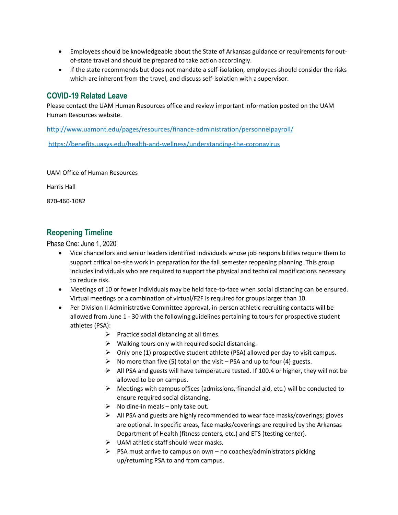- Employees should be knowledgeable about the State of Arkansas guidance or requirements for outof-state travel and should be prepared to take action accordingly.
- If the state recommends but does not mandate a self-isolation, employees should consider the risks which are inherent from the travel, and discuss self-isolation with a supervisor.

#### **COVID-19 Related Leave**

Please contact the UAM Human Resources office and review important information posted on the UAM Human Resources website.

<http://www.uamont.edu/pages/resources/finance-administration/personnelpayroll/>

<https://benefits.uasys.edu/health-and-wellness/understanding-the-coronavirus>

UAM Office of Human Resources

Harris Hall

870-460-1082

## **Reopening Timeline**

Phase One: June 1, 2020

- Vice chancellors and senior leaders identified individuals whose job responsibilities require them to support critical on-site work in preparation for the fall semester reopening planning. This group includes individuals who are required to support the physical and technical modifications necessary to reduce risk.
- Meetings of 10 or fewer individuals may be held face-to-face when social distancing can be ensured. Virtual meetings or a combination of virtual/F2F is required for groups larger than 10.
- Per Division II Administrative Committee approval, in-person athletic recruiting contacts will be allowed from June 1 - 30 with the following guidelines pertaining to tours for prospective student athletes (PSA):
	- $\triangleright$  Practice social distancing at all times.
	- ➢ Walking tours only with required social distancing.
	- $\triangleright$  Only one (1) prospective student athlete (PSA) allowed per day to visit campus.
	- $\triangleright$  No more than five (5) total on the visit PSA and up to four (4) guests.
	- $\triangleright$  All PSA and guests will have temperature tested. If 100.4 or higher, they will not be allowed to be on campus.
	- $\triangleright$  Meetings with campus offices (admissions, financial aid, etc.) will be conducted to ensure required social distancing.
	- $\triangleright$  No dine-in meals only take out.
	- $\triangleright$  All PSA and guests are highly recommended to wear face masks/coverings; gloves are optional. In specific areas, face masks/coverings are required by the Arkansas Department of Health (fitness centers, etc.) and ETS (testing center).
	- $\triangleright$  UAM athletic staff should wear masks.
	- $\triangleright$  PSA must arrive to campus on own no coaches/administrators picking up/returning PSA to and from campus.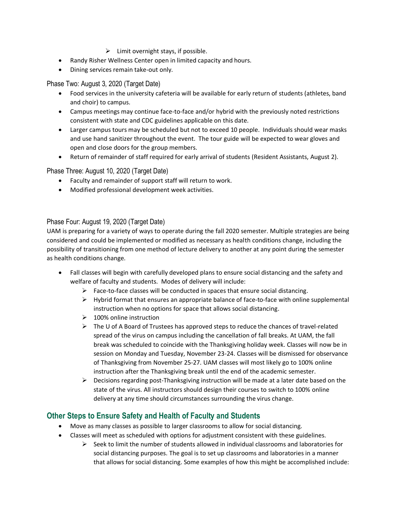- $\triangleright$  Limit overnight stays, if possible.
- Randy Risher Wellness Center open in limited capacity and hours.
- Dining services remain take-out only.

#### Phase Two: August 3, 2020 (Target Date)

- Food services in the university cafeteria will be available for early return of students (athletes, band and choir) to campus.
- Campus meetings may continue face-to-face and/or hybrid with the previously noted restrictions consistent with state and CDC guidelines applicable on this date.
- Larger campus tours may be scheduled but not to exceed 10 people. Individuals should wear masks and use hand sanitizer throughout the event. The tour guide will be expected to wear gloves and open and close doors for the group members.
- Return of remainder of staff required for early arrival of students (Resident Assistants, August 2).

#### Phase Three: August 10, 2020 (Target Date)

- Faculty and remainder of support staff will return to work.
- Modified professional development week activities.

#### Phase Four: August 19, 2020 (Target Date)

UAM is preparing for a variety of ways to operate during the fall 2020 semester. Multiple strategies are being considered and could be implemented or modified as necessary as health conditions change, including the possibility of transitioning from one method of lecture delivery to another at any point during the semester as health conditions change.

- Fall classes will begin with carefully developed plans to ensure social distancing and the safety and welfare of faculty and students. Modes of delivery will include:
	- $\triangleright$  Face-to-face classes will be conducted in spaces that ensure social distancing.
	- $\triangleright$  Hybrid format that ensures an appropriate balance of face-to-face with online supplemental instruction when no options for space that allows social distancing.
	- ➢ 100% online instruction
	- $\triangleright$  The U of A Board of Trustees has approved steps to reduce the chances of travel-related spread of the virus on campus including the cancellation of fall breaks. At UAM, the fall break was scheduled to coincide with the Thanksgiving holiday week. Classes will now be in session on Monday and Tuesday, November 23-24. Classes will be dismissed for observance of Thanksgiving from November 25-27. UAM classes will most likely go to 100% online instruction after the Thanksgiving break until the end of the academic semester.
	- $\triangleright$  Decisions regarding post-Thanksgiving instruction will be made at a later date based on the state of the virus. All instructors should design their courses to switch to 100% online delivery at any time should circumstances surrounding the virus change.

## **Other Steps to Ensure Safety and Health of Faculty and Students**

- Move as many classes as possible to larger classrooms to allow for social distancing.
- Classes will meet as scheduled with options for adjustment consistent with these guidelines.
	- $\triangleright$  Seek to limit the number of students allowed in individual classrooms and laboratories for social distancing purposes. The goal is to set up classrooms and laboratories in a manner that allows for social distancing. Some examples of how this might be accomplished include: